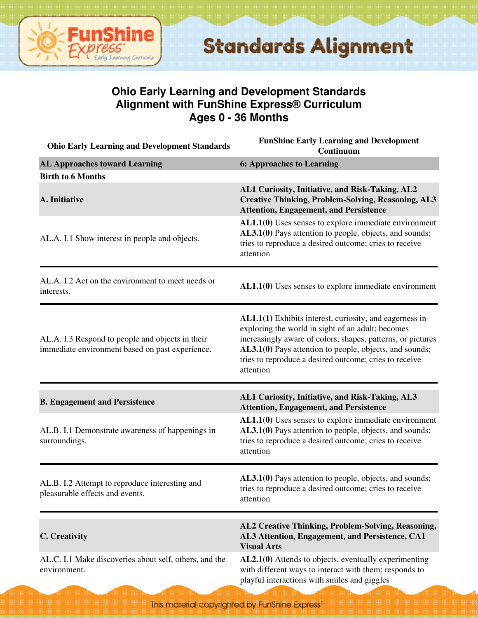

#### **Ohio Early Learning and Development Standards Alignment with FunShine Express® Curriculum Ages 0 - 36 Months**

| <b>Ohio Early Learning and Development Standards</b>                                                | <b>FunShine Early Learning and Development</b><br>Continuum                                                                                                                                                                                                                                                          |
|-----------------------------------------------------------------------------------------------------|----------------------------------------------------------------------------------------------------------------------------------------------------------------------------------------------------------------------------------------------------------------------------------------------------------------------|
| <b>AL Approaches toward Learning</b>                                                                | <b>6: Approaches to Learning</b>                                                                                                                                                                                                                                                                                     |
| <b>Birth to 6 Months</b>                                                                            |                                                                                                                                                                                                                                                                                                                      |
| A. Initiative                                                                                       | AL1 Curiosity, Initiative, and Risk-Taking, AL2<br><b>Creative Thinking, Problem-Solving, Reasoning, AL3</b><br><b>Attention, Engagement, and Persistence</b>                                                                                                                                                        |
| AL.A. I.1 Show interest in people and objects.                                                      | $AL1.1(0)$ Uses senses to explore immediate environment<br>AL3.1(0) Pays attention to people, objects, and sounds;<br>tries to reproduce a desired outcome; cries to receive<br>attention                                                                                                                            |
| AL.A. I.2 Act on the environment to meet needs or<br>interests.                                     | $AL1.1(0)$ Uses senses to explore immediate environment                                                                                                                                                                                                                                                              |
| AL.A. I.3 Respond to people and objects in their<br>immediate environment based on past experience. | <b>AL1.1(1)</b> Exhibits interest, curiosity, and eagerness in<br>exploring the world in sight of an adult; becomes<br>increasingly aware of colors, shapes, patterns, or pictures<br>AL3.1(0) Pays attention to people, objects, and sounds;<br>tries to reproduce a desired outcome; cries to receive<br>attention |
| <b>B. Engagement and Persistence</b>                                                                | AL1 Curiosity, Initiative, and Risk-Taking, AL3<br><b>Attention, Engagement, and Persistence</b>                                                                                                                                                                                                                     |
| AL.B. I.1 Demonstrate awareness of happenings in<br>surroundings.                                   | $AL1.1(0)$ Uses senses to explore immediate environment<br>AL3.1(0) Pays attention to people, objects, and sounds;<br>tries to reproduce a desired outcome; cries to receive<br>attention                                                                                                                            |
| AL.B. I.2 Attempt to reproduce interesting and<br>pleasurable effects and events.                   | AL3.1(0) Pays attention to people, objects, and sounds;<br>tries to reproduce a desired outcome; cries to receive<br>attention                                                                                                                                                                                       |
| C. Creativity                                                                                       | AL2 Creative Thinking, Problem-Solving, Reasoning,<br>AL3 Attention, Engagement, and Persistence, CA1<br><b>Visual Arts</b>                                                                                                                                                                                          |
| AL.C. I.1 Make discoveries about self, others, and the<br>environment.                              | AL2.1(0) Attends to objects, eventually experimenting<br>with different ways to interact with them; responds to<br>playful interactions with smiles and giggles                                                                                                                                                      |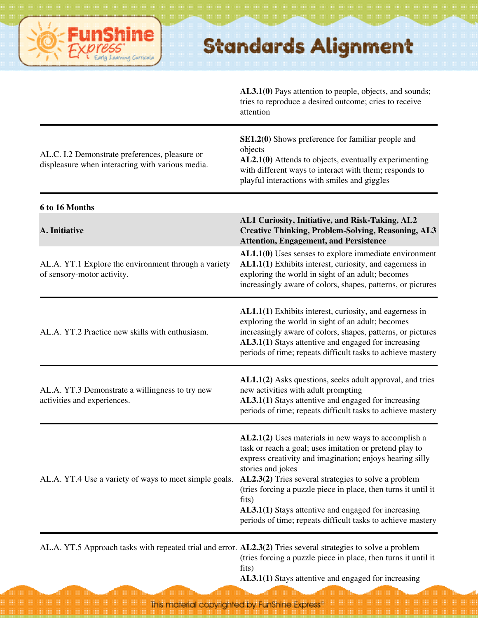#### **Shine** Fun saming Curricula

#### **Standards Alignment**

|                                                                                                               | AL3.1(0) Pays attention to people, objects, and sounds;<br>tries to reproduce a desired outcome; cries to receive<br>attention                                                                                                                                                                                                                                                                                                                               |
|---------------------------------------------------------------------------------------------------------------|--------------------------------------------------------------------------------------------------------------------------------------------------------------------------------------------------------------------------------------------------------------------------------------------------------------------------------------------------------------------------------------------------------------------------------------------------------------|
| AL.C. I.2 Demonstrate preferences, pleasure or<br>displeasure when interacting with various media.            | SE1.2(0) Shows preference for familiar people and<br>objects<br>AL2.1(0) Attends to objects, eventually experimenting<br>with different ways to interact with them; responds to<br>playful interactions with smiles and giggles                                                                                                                                                                                                                              |
| 6 to 16 Months                                                                                                |                                                                                                                                                                                                                                                                                                                                                                                                                                                              |
| A. Initiative                                                                                                 | AL1 Curiosity, Initiative, and Risk-Taking, AL2<br><b>Creative Thinking, Problem-Solving, Reasoning, AL3</b><br><b>Attention, Engagement, and Persistence</b>                                                                                                                                                                                                                                                                                                |
| AL.A. YT.1 Explore the environment through a variety<br>of sensory-motor activity.                            | $AL1.1(0)$ Uses senses to explore immediate environment<br>AL1.1(1) Exhibits interest, curiosity, and eagerness in<br>exploring the world in sight of an adult; becomes<br>increasingly aware of colors, shapes, patterns, or pictures                                                                                                                                                                                                                       |
| AL.A. YT.2 Practice new skills with enthusiasm.                                                               | AL1.1(1) Exhibits interest, curiosity, and eagerness in<br>exploring the world in sight of an adult; becomes<br>increasingly aware of colors, shapes, patterns, or pictures<br>AL3.1(1) Stays attentive and engaged for increasing<br>periods of time; repeats difficult tasks to achieve mastery                                                                                                                                                            |
| AL.A. YT.3 Demonstrate a willingness to try new<br>activities and experiences.                                | AL1.1(2) Asks questions, seeks adult approval, and tries<br>new activities with adult prompting<br>AL3.1(1) Stays attentive and engaged for increasing<br>periods of time; repeats difficult tasks to achieve mastery                                                                                                                                                                                                                                        |
| AL.A. YT.4 Use a variety of ways to meet simple goals.                                                        | $AL2.1(2)$ Uses materials in new ways to accomplish a<br>task or reach a goal; uses imitation or pretend play to<br>express creativity and imagination; enjoys hearing silly<br>stories and jokes<br>$AL2.3(2)$ Tries several strategies to solve a problem<br>(tries forcing a puzzle piece in place, then turns it until it<br>fits)<br>AL3.1(1) Stays attentive and engaged for increasing<br>periods of time; repeats difficult tasks to achieve mastery |
| AL.A. YT.5 Approach tasks with repeated trial and error. AL2.3(2) Tries several strategies to solve a problem | (tries forcing a puzzle piece in place, then turns it until it<br>fits)                                                                                                                                                                                                                                                                                                                                                                                      |

**AL3.1(1)** Stays attentive and engaged for increasing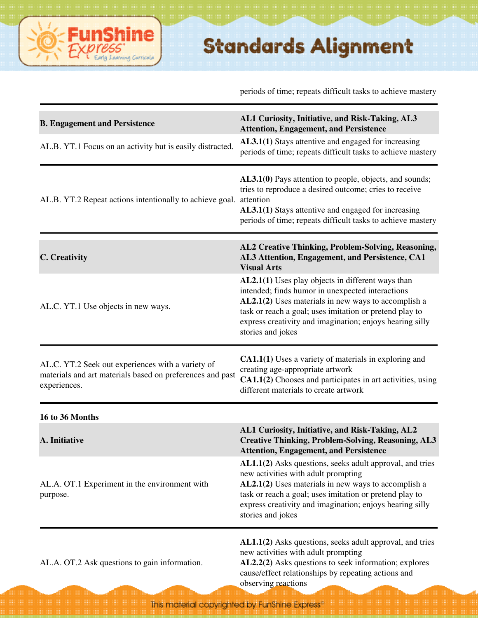periods of time; repeats difficult tasks to achieve mastery

| <b>B. Engagement and Persistence</b><br>AL.B. YT.1 Focus on an activity but is easily distracted.                              | AL1 Curiosity, Initiative, and Risk-Taking, AL3<br><b>Attention, Engagement, and Persistence</b><br>AL3.1(1) Stays attentive and engaged for increasing<br>periods of time; repeats difficult tasks to achieve mastery                                                                                   |
|--------------------------------------------------------------------------------------------------------------------------------|----------------------------------------------------------------------------------------------------------------------------------------------------------------------------------------------------------------------------------------------------------------------------------------------------------|
| AL.B. YT.2 Repeat actions intentionally to achieve goal.                                                                       | AL3.1(0) Pays attention to people, objects, and sounds;<br>tries to reproduce a desired outcome; cries to receive<br>attention<br>AL3.1(1) Stays attentive and engaged for increasing<br>periods of time; repeats difficult tasks to achieve mastery                                                     |
| C. Creativity                                                                                                                  | AL2 Creative Thinking, Problem-Solving, Reasoning,<br>AL3 Attention, Engagement, and Persistence, CA1<br><b>Visual Arts</b>                                                                                                                                                                              |
| AL.C. YT.1 Use objects in new ways.                                                                                            | AL2.1(1) Uses play objects in different ways than<br>intended; finds humor in unexpected interactions<br>AL2.1(2) Uses materials in new ways to accomplish a<br>task or reach a goal; uses imitation or pretend play to<br>express creativity and imagination; enjoys hearing silly<br>stories and jokes |
| AL.C. YT.2 Seek out experiences with a variety of<br>materials and art materials based on preferences and past<br>experiences. | <b>CA1.1(1)</b> Uses a variety of materials in exploring and<br>creating age-appropriate artwork<br>CA1.1(2) Chooses and participates in art activities, using<br>different materials to create artwork                                                                                                  |
| 16 to 36 Months                                                                                                                |                                                                                                                                                                                                                                                                                                          |
| A. Initiative                                                                                                                  | AL1 Curiosity, Initiative, and Risk-Taking, AL2<br><b>Creative Thinking, Problem-Solving, Reasoning, AL3</b><br><b>Attention, Engagement, and Persistence</b>                                                                                                                                            |
| AL.A. OT.1 Experiment in the environment with<br>purpose.                                                                      | AL1.1(2) Asks questions, seeks adult approval, and tries<br>new activities with adult prompting<br>AL2.1(2) Uses materials in new ways to accomplish a<br>task or reach a goal; uses imitation or pretend play to<br>express creativity and imagination; enjoys hearing silly<br>stories and jokes       |
| AL.A. OT.2 Ask questions to gain information.                                                                                  | AL1.1(2) Asks questions, seeks adult approval, and tries<br>new activities with adult prompting<br>AL2.2(2) Asks questions to seek information; explores<br>cause/effect relationships by repeating actions and<br>observing reactions                                                                   |

ine

ning Curricula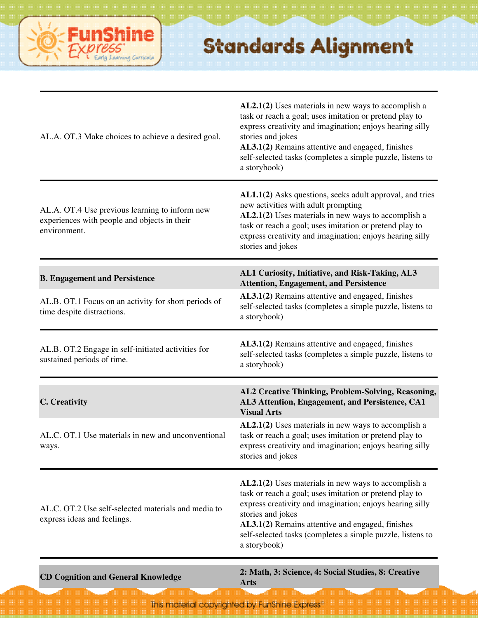

| AL.A. OT.3 Make choices to achieve a desired goal.                                                             | $AL2.1(2)$ Uses materials in new ways to accomplish a<br>task or reach a goal; uses imitation or pretend play to<br>express creativity and imagination; enjoys hearing silly<br>stories and jokes<br>AL3.1(2) Remains attentive and engaged, finishes<br>self-selected tasks (completes a simple puzzle, listens to<br>a storybook) |
|----------------------------------------------------------------------------------------------------------------|-------------------------------------------------------------------------------------------------------------------------------------------------------------------------------------------------------------------------------------------------------------------------------------------------------------------------------------|
| AL.A. OT.4 Use previous learning to inform new<br>experiences with people and objects in their<br>environment. | AL1.1(2) Asks questions, seeks adult approval, and tries<br>new activities with adult prompting<br>AL2.1(2) Uses materials in new ways to accomplish a<br>task or reach a goal; uses imitation or pretend play to<br>express creativity and imagination; enjoys hearing silly<br>stories and jokes                                  |
| <b>B. Engagement and Persistence</b>                                                                           | AL1 Curiosity, Initiative, and Risk-Taking, AL3<br><b>Attention, Engagement, and Persistence</b>                                                                                                                                                                                                                                    |
| AL.B. OT.1 Focus on an activity for short periods of<br>time despite distractions.                             | AL3.1(2) Remains attentive and engaged, finishes<br>self-selected tasks (completes a simple puzzle, listens to<br>a storybook)                                                                                                                                                                                                      |
| AL.B. OT.2 Engage in self-initiated activities for<br>sustained periods of time.                               | AL3.1(2) Remains attentive and engaged, finishes<br>self-selected tasks (completes a simple puzzle, listens to<br>a storybook)                                                                                                                                                                                                      |
| C. Creativity                                                                                                  | AL2 Creative Thinking, Problem-Solving, Reasoning,<br>AL3 Attention, Engagement, and Persistence, CA1<br><b>Visual Arts</b>                                                                                                                                                                                                         |
| AL.C. OT.1 Use materials in new and unconventional<br>ways.                                                    | AL2.1(2) Uses materials in new ways to accomplish a<br>task or reach a goal; uses imitation or pretend play to<br>express creativity and imagination; enjoys hearing silly<br>stories and jokes                                                                                                                                     |
| AL.C. OT.2 Use self-selected materials and media to<br>express ideas and feelings.                             | AL2.1(2) Uses materials in new ways to accomplish a<br>task or reach a goal; uses imitation or pretend play to<br>express creativity and imagination; enjoys hearing silly<br>stories and jokes<br>AL3.1(2) Remains attentive and engaged, finishes<br>self-selected tasks (completes a simple puzzle, listens to<br>a storybook)   |
| <b>CD Cognition and General Knowledge</b>                                                                      | 2: Math, 3: Science, 4: Social Studies, 8: Creative                                                                                                                                                                                                                                                                                 |

**Arts**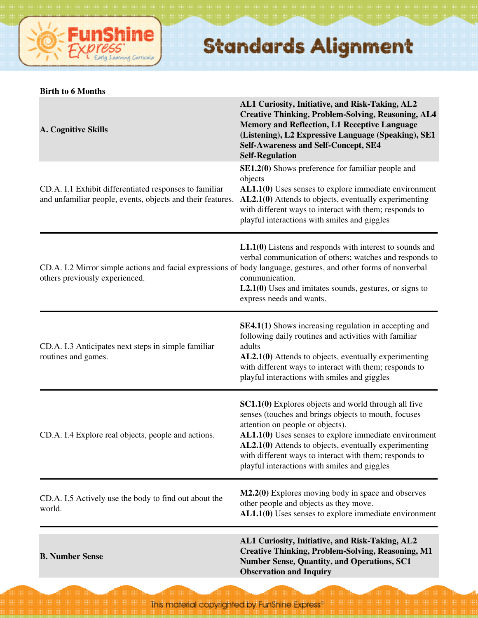

|  | <b>Birth to 6 Months</b> |
|--|--------------------------|
|  |                          |

| A. Cognitive Skills                                                                                                                               | AL1 Curiosity, Initiative, and Risk-Taking, AL2<br><b>Creative Thinking, Problem-Solving, Reasoning, AL4</b><br><b>Memory and Reflection, L1 Receptive Language</b><br>(Listening), L2 Expressive Language (Speaking), SE1<br><b>Self-Awareness and Self-Concept, SE4</b><br><b>Self-Regulation</b>                                                                          |
|---------------------------------------------------------------------------------------------------------------------------------------------------|------------------------------------------------------------------------------------------------------------------------------------------------------------------------------------------------------------------------------------------------------------------------------------------------------------------------------------------------------------------------------|
| CD.A. I.1 Exhibit differentiated responses to familiar<br>and unfamiliar people, events, objects and their features.                              | <b>SE1.2(0)</b> Shows preference for familiar people and<br>objects<br>$AL1.1(0)$ Uses senses to explore immediate environment<br>AL2.1(0) Attends to objects, eventually experimenting<br>with different ways to interact with them; responds to<br>playful interactions with smiles and giggles                                                                            |
| CD.A. I.2 Mirror simple actions and facial expressions of body language, gestures, and other forms of nonverbal<br>others previously experienced. | $L1.1(0)$ Listens and responds with interest to sounds and<br>verbal communication of others; watches and responds to<br>communication.<br>$L2.1(0)$ Uses and imitates sounds, gestures, or signs to<br>express needs and wants.                                                                                                                                             |
| CD.A. I.3 Anticipates next steps in simple familiar<br>routines and games.                                                                        | <b>SE4.1(1)</b> Shows increasing regulation in accepting and<br>following daily routines and activities with familiar<br>adults<br>AL2.1(0) Attends to objects, eventually experimenting<br>with different ways to interact with them; responds to<br>playful interactions with smiles and giggles                                                                           |
| CD.A. I.4 Explore real objects, people and actions.                                                                                               | SC1.1(0) Explores objects and world through all five<br>senses (touches and brings objects to mouth, focuses<br>attention on people or objects).<br>AL1.1(0) Uses senses to explore immediate environment<br>AL2.1(0) Attends to objects, eventually experimenting<br>with different ways to interact with them; responds to<br>playful interactions with smiles and giggles |
| CD.A. I.5 Actively use the body to find out about the<br>world.                                                                                   | M2.2(0) Explores moving body in space and observes<br>other people and objects as they move.<br>$AL1.1(0)$ Uses senses to explore immediate environment                                                                                                                                                                                                                      |
| <b>B. Number Sense</b>                                                                                                                            | AL1 Curiosity, Initiative, and Risk-Taking, AL2<br><b>Creative Thinking, Problem-Solving, Reasoning, M1</b><br><b>Number Sense, Quantity, and Operations, SC1</b><br><b>Observation and Inquiry</b>                                                                                                                                                                          |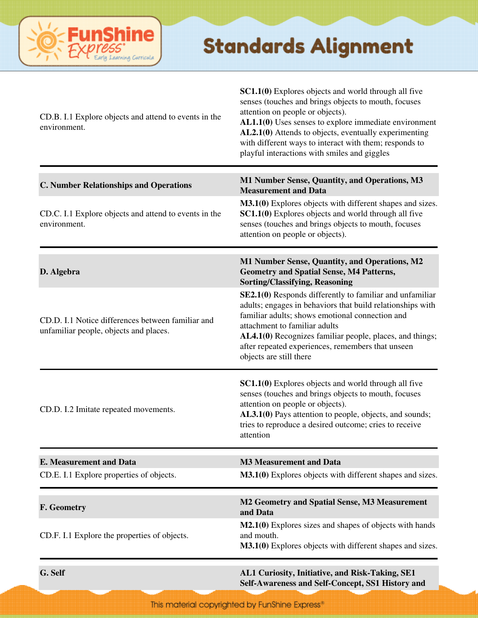

| <b>E. Measurement and Data</b><br>CD.E. I.1 Explore properties of objects.                  | attention<br><b>M3 Measurement and Data</b><br>M3.1(0) Explores objects with different shapes and sizes.                                                                                                                                                                                                                                                                     |
|---------------------------------------------------------------------------------------------|------------------------------------------------------------------------------------------------------------------------------------------------------------------------------------------------------------------------------------------------------------------------------------------------------------------------------------------------------------------------------|
| CD.D. I.2 Imitate repeated movements.                                                       | SC1.1(0) Explores objects and world through all five<br>senses (touches and brings objects to mouth, focuses<br>attention on people or objects).<br>AL3.1(0) Pays attention to people, objects, and sounds;<br>tries to reproduce a desired outcome; cries to receive                                                                                                        |
| CD.D. I.1 Notice differences between familiar and<br>unfamiliar people, objects and places. | SE2.1(0) Responds differently to familiar and unfamiliar<br>adults; engages in behaviors that build relationships with<br>familiar adults; shows emotional connection and<br>attachment to familiar adults<br>AL4.1(0) Recognizes familiar people, places, and things;<br>after repeated experiences, remembers that unseen<br>objects are still there                       |
| D. Algebra                                                                                  | M1 Number Sense, Quantity, and Operations, M2<br><b>Geometry and Spatial Sense, M4 Patterns,</b><br><b>Sorting/Classifying, Reasoning</b>                                                                                                                                                                                                                                    |
| CD.C. I.1 Explore objects and attend to events in the<br>environment.                       | M3.1(0) Explores objects with different shapes and sizes.<br>SC1.1(0) Explores objects and world through all five<br>senses (touches and brings objects to mouth, focuses<br>attention on people or objects).                                                                                                                                                                |
| <b>C. Number Relationships and Operations</b>                                               | M1 Number Sense, Quantity, and Operations, M3<br><b>Measurement and Data</b>                                                                                                                                                                                                                                                                                                 |
| CD.B. I.1 Explore objects and attend to events in the<br>environment.                       | SC1.1(0) Explores objects and world through all five<br>senses (touches and brings objects to mouth, focuses<br>attention on people or objects).<br>AL1.1(0) Uses senses to explore immediate environment<br>AL2.1(0) Attends to objects, eventually experimenting<br>with different ways to interact with them; responds to<br>playful interactions with smiles and giggles |

**Self-Awareness and Self-Concept, SS1 History and**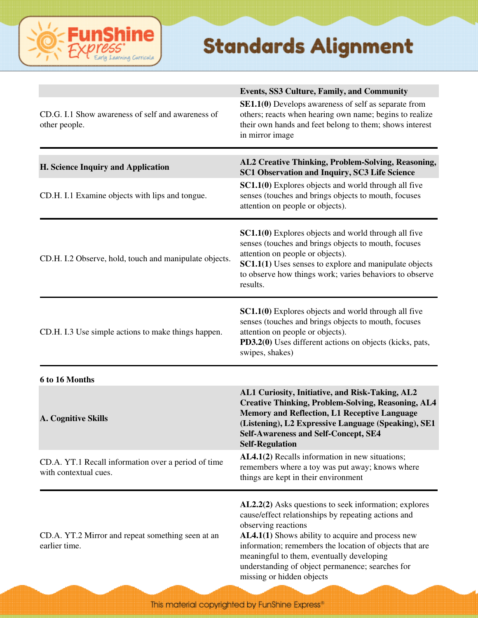

| CD.G. I.1 Show awareness of self and awareness of<br>other people.           | Events, SS3 Culture, Family, and Community<br><b>SE1.1(0)</b> Develops awareness of self as separate from<br>others; reacts when hearing own name; begins to realize<br>their own hands and feet belong to them; shows interest<br>in mirror image                                                                                                                                |
|------------------------------------------------------------------------------|-----------------------------------------------------------------------------------------------------------------------------------------------------------------------------------------------------------------------------------------------------------------------------------------------------------------------------------------------------------------------------------|
| H. Science Inquiry and Application                                           | AL2 Creative Thinking, Problem-Solving, Reasoning,<br>SC1 Observation and Inquiry, SC3 Life Science                                                                                                                                                                                                                                                                               |
| CD.H. I.1 Examine objects with lips and tongue.                              | <b>SC1.1(0)</b> Explores objects and world through all five<br>senses (touches and brings objects to mouth, focuses<br>attention on people or objects).                                                                                                                                                                                                                           |
| CD.H. I.2 Observe, hold, touch and manipulate objects.                       | SC1.1(0) Explores objects and world through all five<br>senses (touches and brings objects to mouth, focuses<br>attention on people or objects).<br>SC1.1(1) Uses senses to explore and manipulate objects<br>to observe how things work; varies behaviors to observe<br>results.                                                                                                 |
| CD.H. I.3 Use simple actions to make things happen.                          | <b>SC1.1(0)</b> Explores objects and world through all five<br>senses (touches and brings objects to mouth, focuses<br>attention on people or objects).<br>PD3.2(0) Uses different actions on objects (kicks, pats,<br>swipes, shakes)                                                                                                                                            |
| 6 to 16 Months                                                               |                                                                                                                                                                                                                                                                                                                                                                                   |
| A. Cognitive Skills                                                          | AL1 Curiosity, Initiative, and Risk-Taking, AL2<br><b>Creative Thinking, Problem-Solving, Reasoning, AL4</b><br><b>Memory and Reflection, L1 Receptive Language</b><br>(Listening), L2 Expressive Language (Speaking), SE1<br><b>Self-Awareness and Self-Concept, SE4</b><br><b>Self-Regulation</b>                                                                               |
| CD.A. YT.1 Recall information over a period of time<br>with contextual cues. | AL4.1(2) Recalls information in new situations;<br>remembers where a toy was put away; knows where<br>things are kept in their environment                                                                                                                                                                                                                                        |
| CD.A. YT.2 Mirror and repeat something seen at an<br>earlier time.           | AL2.2(2) Asks questions to seek information; explores<br>cause/effect relationships by repeating actions and<br>observing reactions<br>AL4.1(1) Shows ability to acquire and process new<br>information; remembers the location of objects that are<br>meaningful to them, eventually developing<br>understanding of object permanence; searches for<br>missing or hidden objects |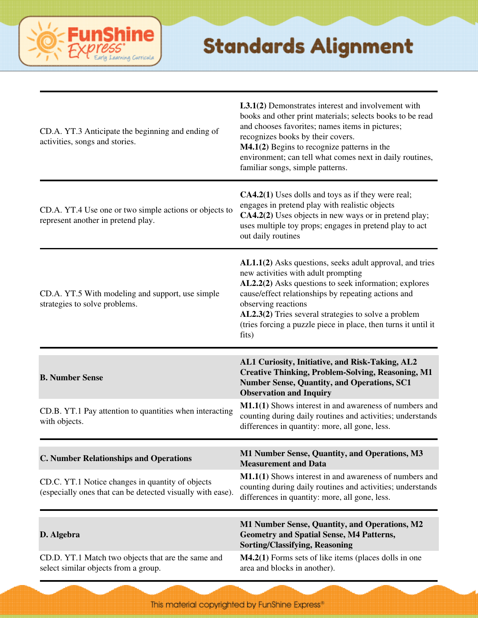

| CD.A. YT.3 Anticipate the beginning and ending of<br>activities, songs and stories.                                                                             | L3.1(2) Demonstrates interest and involvement with<br>books and other print materials; selects books to be read<br>and chooses favorites; names items in pictures;<br>recognizes books by their covers.<br>M4.1(2) Begins to recognize patterns in the<br>environment; can tell what comes next in daily routines,<br>familiar songs, simple patterns.                    |
|-----------------------------------------------------------------------------------------------------------------------------------------------------------------|---------------------------------------------------------------------------------------------------------------------------------------------------------------------------------------------------------------------------------------------------------------------------------------------------------------------------------------------------------------------------|
| CD.A. YT.4 Use one or two simple actions or objects to<br>represent another in pretend play.                                                                    | <b>CA4.2(1)</b> Uses dolls and toys as if they were real;<br>engages in pretend play with realistic objects<br>CA4.2(2) Uses objects in new ways or in pretend play;<br>uses multiple toy props; engages in pretend play to act<br>out daily routines                                                                                                                     |
| CD.A. YT.5 With modeling and support, use simple<br>strategies to solve problems.                                                                               | AL1.1(2) Asks questions, seeks adult approval, and tries<br>new activities with adult prompting<br>AL2.2(2) Asks questions to seek information; explores<br>cause/effect relationships by repeating actions and<br>observing reactions<br>AL2.3(2) Tries several strategies to solve a problem<br>(tries forcing a puzzle piece in place, then turns it until it<br>fits) |
|                                                                                                                                                                 | AL1 Curiosity, Initiative, and Risk-Taking, AL2                                                                                                                                                                                                                                                                                                                           |
| <b>B. Number Sense</b>                                                                                                                                          | <b>Creative Thinking, Problem-Solving, Reasoning, M1</b><br><b>Number Sense, Quantity, and Operations, SC1</b><br><b>Observation and Inquiry</b>                                                                                                                                                                                                                          |
| CD.B. YT.1 Pay attention to quantities when interacting<br>with objects.                                                                                        | M1.1(1) Shows interest in and awareness of numbers and<br>counting during daily routines and activities; understands<br>differences in quantity: more, all gone, less.                                                                                                                                                                                                    |
| <b>C. Number Relationships and Operations</b><br>CD.C. YT.1 Notice changes in quantity of objects<br>(especially ones that can be detected visually with ease). | M1 Number Sense, Quantity, and Operations, M3<br><b>Measurement and Data</b><br>M1.1(1) Shows interest in and awareness of numbers and<br>counting during daily routines and activities; understands<br>differences in quantity: more, all gone, less.                                                                                                                    |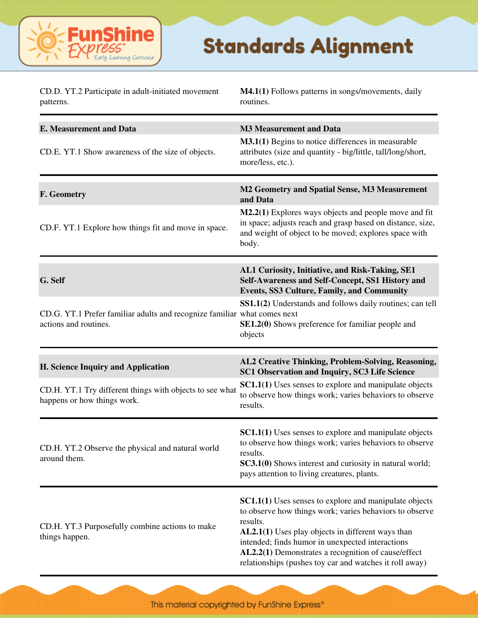

| CD.D. YT.2 Participate in adult-initiated movement<br>patterns.                                   | <b>M4.1(1)</b> Follows patterns in songs/movements, daily<br>routines.                                                                                                                                                                                                                                                                                          |
|---------------------------------------------------------------------------------------------------|-----------------------------------------------------------------------------------------------------------------------------------------------------------------------------------------------------------------------------------------------------------------------------------------------------------------------------------------------------------------|
| <b>E. Measurement and Data</b>                                                                    | <b>M3 Measurement and Data</b>                                                                                                                                                                                                                                                                                                                                  |
| CD.E. YT.1 Show awareness of the size of objects.                                                 | <b>M3.1(1)</b> Begins to notice differences in measurable<br>attributes (size and quantity - big/little, tall/long/short,<br>more/less, etc.).                                                                                                                                                                                                                  |
| F. Geometry                                                                                       | M2 Geometry and Spatial Sense, M3 Measurement<br>and Data                                                                                                                                                                                                                                                                                                       |
| CD.F. YT.1 Explore how things fit and move in space.                                              | M2.2(1) Explores ways objects and people move and fit<br>in space; adjusts reach and grasp based on distance, size,<br>and weight of object to be moved; explores space with<br>body.                                                                                                                                                                           |
| G. Self                                                                                           | AL1 Curiosity, Initiative, and Risk-Taking, SE1<br>Self-Awareness and Self-Concept, SS1 History and<br><b>Events, SS3 Culture, Family, and Community</b>                                                                                                                                                                                                        |
| CD.G. YT.1 Prefer familiar adults and recognize familiar what comes next<br>actions and routines. | SS1.1(2) Understands and follows daily routines; can tell<br><b>SE1.2(0)</b> Shows preference for familiar people and<br>objects                                                                                                                                                                                                                                |
| H. Science Inquiry and Application                                                                | AL2 Creative Thinking, Problem-Solving, Reasoning,<br>SC1 Observation and Inquiry, SC3 Life Science                                                                                                                                                                                                                                                             |
| CD.H. YT.1 Try different things with objects to see what<br>happens or how things work.           | <b>SC1.1(1)</b> Uses senses to explore and manipulate objects<br>to observe how things work; varies behaviors to observe<br>results.                                                                                                                                                                                                                            |
| CD.H. YT.2 Observe the physical and natural world<br>around them.                                 | <b>SC1.1(1)</b> Uses senses to explore and manipulate objects<br>to observe how things work; varies behaviors to observe<br>results.<br>SC3.1(0) Shows interest and curiosity in natural world;<br>pays attention to living creatures, plants.                                                                                                                  |
| CD.H. YT.3 Purposefully combine actions to make<br>things happen.                                 | <b>SC1.1(1)</b> Uses senses to explore and manipulate objects<br>to observe how things work; varies behaviors to observe<br>results.<br>AL2.1(1) Uses play objects in different ways than<br>intended; finds humor in unexpected interactions<br>AL2.2(1) Demonstrates a recognition of cause/effect<br>relationships (pushes toy car and watches it roll away) |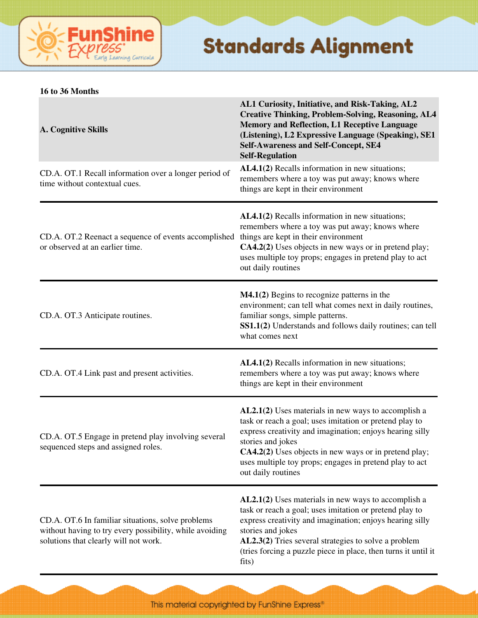

#### **16 to 36 Months**

| <b>A. Cognitive Skills</b>                                                                                                                            | AL1 Curiosity, Initiative, and Risk-Taking, AL2<br><b>Creative Thinking, Problem-Solving, Reasoning, AL4</b><br><b>Memory and Reflection, L1 Receptive Language</b><br>(Listening), L2 Expressive Language (Speaking), SE1<br><b>Self-Awareness and Self-Concept, SE4</b><br><b>Self-Regulation</b>                                       |
|-------------------------------------------------------------------------------------------------------------------------------------------------------|-------------------------------------------------------------------------------------------------------------------------------------------------------------------------------------------------------------------------------------------------------------------------------------------------------------------------------------------|
| CD.A. OT.1 Recall information over a longer period of<br>time without contextual cues.                                                                | AL4.1(2) Recalls information in new situations;<br>remembers where a toy was put away; knows where<br>things are kept in their environment                                                                                                                                                                                                |
| CD.A. OT.2 Reenact a sequence of events accomplished<br>or observed at an earlier time.                                                               | AL4.1(2) Recalls information in new situations;<br>remembers where a toy was put away; knows where<br>things are kept in their environment<br>CA4.2(2) Uses objects in new ways or in pretend play;<br>uses multiple toy props; engages in pretend play to act<br>out daily routines                                                      |
| CD.A. OT.3 Anticipate routines.                                                                                                                       | $M4.1(2)$ Begins to recognize patterns in the<br>environment; can tell what comes next in daily routines,<br>familiar songs, simple patterns.<br>SS1.1(2) Understands and follows daily routines; can tell<br>what comes next                                                                                                             |
| CD.A. OT.4 Link past and present activities.                                                                                                          | AL4.1(2) Recalls information in new situations;<br>remembers where a toy was put away; knows where<br>things are kept in their environment                                                                                                                                                                                                |
| CD.A. OT.5 Engage in pretend play involving several<br>sequenced steps and assigned roles.                                                            | AL2.1(2) Uses materials in new ways to accomplish a<br>task or reach a goal; uses imitation or pretend play to<br>express creativity and imagination; enjoys hearing silly<br>stories and jokes<br>CA4.2(2) Uses objects in new ways or in pretend play;<br>uses multiple toy props; engages in pretend play to act<br>out daily routines |
| CD.A. OT.6 In familiar situations, solve problems<br>without having to try every possibility, while avoiding<br>solutions that clearly will not work. | $AL2.1(2)$ Uses materials in new ways to accomplish a<br>task or reach a goal; uses imitation or pretend play to<br>express creativity and imagination; enjoys hearing silly<br>stories and jokes<br>AL2.3(2) Tries several strategies to solve a problem<br>(tries forcing a puzzle piece in place, then turns it until it<br>fits)      |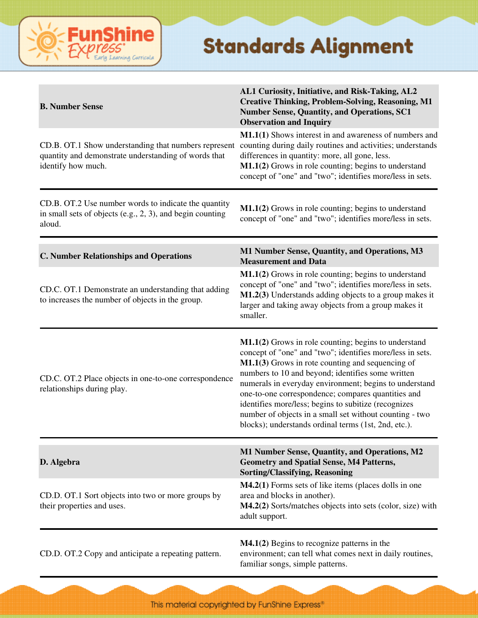

| <b>B. Number Sense</b>                                                                                                             | AL1 Curiosity, Initiative, and Risk-Taking, AL2<br><b>Creative Thinking, Problem-Solving, Reasoning, M1</b><br><b>Number Sense, Quantity, and Operations, SC1</b><br><b>Observation and Inquiry</b>                                                                                                                                                                                                                                                                                                                   |
|------------------------------------------------------------------------------------------------------------------------------------|-----------------------------------------------------------------------------------------------------------------------------------------------------------------------------------------------------------------------------------------------------------------------------------------------------------------------------------------------------------------------------------------------------------------------------------------------------------------------------------------------------------------------|
| CD.B. OT.1 Show understanding that numbers represent<br>quantity and demonstrate understanding of words that<br>identify how much. | M1.1(1) Shows interest in and awareness of numbers and<br>counting during daily routines and activities; understands<br>differences in quantity: more, all gone, less.<br>M1.1(2) Grows in role counting; begins to understand<br>concept of "one" and "two"; identifies more/less in sets.                                                                                                                                                                                                                           |
| CD.B. OT.2 Use number words to indicate the quantity<br>in small sets of objects (e.g., $2$ , $3$ ), and begin counting<br>aloud.  | M1.1(2) Grows in role counting; begins to understand<br>concept of "one" and "two"; identifies more/less in sets.                                                                                                                                                                                                                                                                                                                                                                                                     |
| <b>C. Number Relationships and Operations</b>                                                                                      | M1 Number Sense, Quantity, and Operations, M3<br><b>Measurement and Data</b>                                                                                                                                                                                                                                                                                                                                                                                                                                          |
| CD.C. OT.1 Demonstrate an understanding that adding<br>to increases the number of objects in the group.                            | M1.1(2) Grows in role counting; begins to understand<br>concept of "one" and "two"; identifies more/less in sets.<br>M1.2(3) Understands adding objects to a group makes it<br>larger and taking away objects from a group makes it<br>smaller.                                                                                                                                                                                                                                                                       |
| CD.C. OT.2 Place objects in one-to-one correspondence<br>relationships during play.                                                | M1.1(2) Grows in role counting; begins to understand<br>concept of "one" and "two"; identifies more/less in sets.<br>M1.1(3) Grows in rote counting and sequencing of<br>numbers to 10 and beyond; identifies some written<br>numerals in everyday environment; begins to understand<br>one-to-one correspondence; compares quantities and<br>identifies more/less; begins to subitize (recognizes<br>number of objects in a small set without counting - two<br>blocks); understands ordinal terms (1st, 2nd, etc.). |
| D. Algebra                                                                                                                         | M1 Number Sense, Quantity, and Operations, M2<br><b>Geometry and Spatial Sense, M4 Patterns,</b><br><b>Sorting/Classifying, Reasoning</b>                                                                                                                                                                                                                                                                                                                                                                             |
| CD.D. OT.1 Sort objects into two or more groups by<br>their properties and uses.                                                   | M4.2(1) Forms sets of like items (places dolls in one<br>area and blocks in another).<br>M4.2(2) Sorts/matches objects into sets (color, size) with<br>adult support.                                                                                                                                                                                                                                                                                                                                                 |
| CD.D. OT.2 Copy and anticipate a repeating pattern.                                                                                | $M4.1(2)$ Begins to recognize patterns in the<br>environment; can tell what comes next in daily routines,<br>familiar songs, simple patterns.                                                                                                                                                                                                                                                                                                                                                                         |

This material copyrighted by FunShine Express\*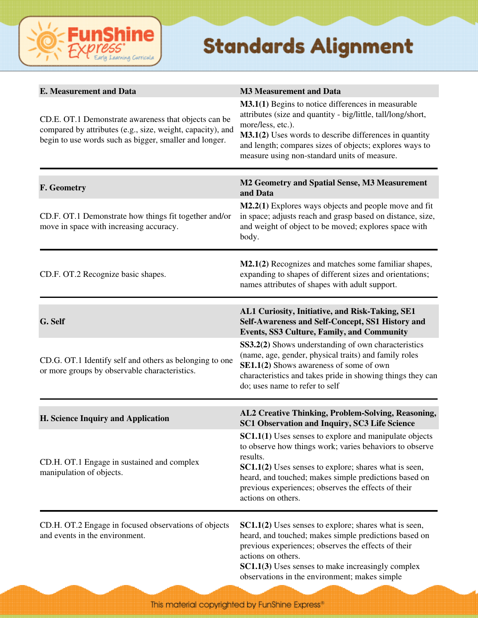

| <b>E. Measurement and Data</b>                                                                                                                                               | <b>M3 Measurement and Data</b>                                                                                                                                                                                                                                                                                                                                                                                      |
|------------------------------------------------------------------------------------------------------------------------------------------------------------------------------|---------------------------------------------------------------------------------------------------------------------------------------------------------------------------------------------------------------------------------------------------------------------------------------------------------------------------------------------------------------------------------------------------------------------|
| CD.E. OT.1 Demonstrate awareness that objects can be<br>compared by attributes (e.g., size, weight, capacity), and<br>begin to use words such as bigger, smaller and longer. | M3.1(1) Begins to notice differences in measurable<br>attributes (size and quantity - big/little, tall/long/short,<br>more/less, etc.).<br>M3.1(2) Uses words to describe differences in quantity<br>and length; compares sizes of objects; explores ways to<br>measure using non-standard units of measure.                                                                                                        |
| F. Geometry                                                                                                                                                                  | M2 Geometry and Spatial Sense, M3 Measurement<br>and Data                                                                                                                                                                                                                                                                                                                                                           |
| CD.F. OT.1 Demonstrate how things fit together and/or<br>move in space with increasing accuracy.                                                                             | M2.2(1) Explores ways objects and people move and fit<br>in space; adjusts reach and grasp based on distance, size,<br>and weight of object to be moved; explores space with<br>body.                                                                                                                                                                                                                               |
| CD.F. OT.2 Recognize basic shapes.                                                                                                                                           | M2.1(2) Recognizes and matches some familiar shapes,<br>expanding to shapes of different sizes and orientations;<br>names attributes of shapes with adult support.                                                                                                                                                                                                                                                  |
| G. Self<br>CD.G. OT.1 Identify self and others as belonging to one<br>or more groups by observable characteristics.                                                          | AL1 Curiosity, Initiative, and Risk-Taking, SE1<br>Self-Awareness and Self-Concept, SS1 History and<br><b>Events, SS3 Culture, Family, and Community</b><br>SS3.2(2) Shows understanding of own characteristics<br>(name, age, gender, physical traits) and family roles<br>SE1.1(2) Shows awareness of some of own<br>characteristics and takes pride in showing things they can<br>do; uses name to refer to self |
| H. Science Inquiry and Application                                                                                                                                           | AL2 Creative Thinking, Problem-Solving, Reasoning,<br>SC1 Observation and Inquiry, SC3 Life Science                                                                                                                                                                                                                                                                                                                 |
| CD.H. OT.1 Engage in sustained and complex<br>manipulation of objects.                                                                                                       | SC1.1(1) Uses senses to explore and manipulate objects<br>to observe how things work; varies behaviors to observe<br>results.<br>SC1.1(2) Uses senses to explore; shares what is seen,<br>heard, and touched; makes simple predictions based on<br>previous experiences; observes the effects of their<br>actions on others.                                                                                        |
| CD.H. OT.2 Engage in focused observations of objects<br>and events in the environment.                                                                                       | <b>SC1.1(2)</b> Uses senses to explore; shares what is seen,<br>heard, and touched; makes simple predictions based on<br>previous experiences; observes the effects of their<br>actions on others.<br><b>SC1.1(3)</b> Uses senses to make increasingly complex<br>observations in the environment; makes simple                                                                                                     |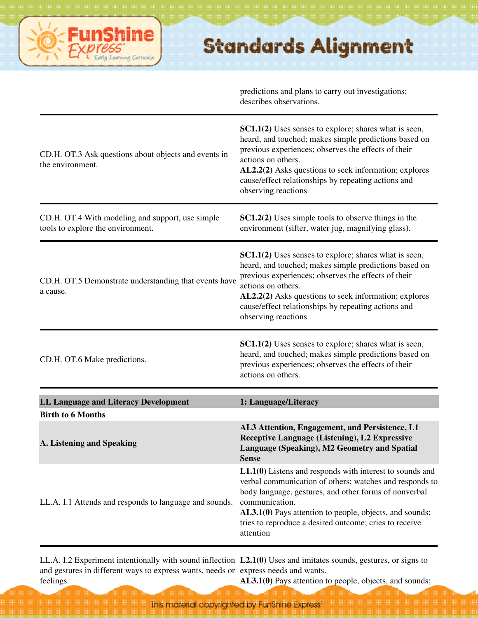|                                                                                       | predictions and plans to carry out investigations;<br>describes observations.                                                                                                                                                                                                                                                             |
|---------------------------------------------------------------------------------------|-------------------------------------------------------------------------------------------------------------------------------------------------------------------------------------------------------------------------------------------------------------------------------------------------------------------------------------------|
| CD.H. OT.3 Ask questions about objects and events in<br>the environment.              | <b>SC1.1(2)</b> Uses senses to explore; shares what is seen,<br>heard, and touched; makes simple predictions based on<br>previous experiences; observes the effects of their<br>actions on others.<br>AL2.2(2) Asks questions to seek information; explores<br>cause/effect relationships by repeating actions and<br>observing reactions |
| CD.H. OT.4 With modeling and support, use simple<br>tools to explore the environment. | <b>SC1.2(2)</b> Uses simple tools to observe things in the<br>environment (sifter, water jug, magnifying glass).                                                                                                                                                                                                                          |
| CD.H. OT.5 Demonstrate understanding that events have<br>a cause.                     | SC1.1(2) Uses senses to explore; shares what is seen,<br>heard, and touched; makes simple predictions based on<br>previous experiences; observes the effects of their<br>actions on others.<br>AL2.2(2) Asks questions to seek information; explores<br>cause/effect relationships by repeating actions and<br>observing reactions        |
| CD.H. OT.6 Make predictions.                                                          | SC1.1(2) Uses senses to explore; shares what is seen,<br>heard, and touched; makes simple predictions based on<br>previous experiences; observes the effects of their<br>actions on others.                                                                                                                                               |
| LL Language and Literacy Development                                                  | 1: Language/Literacy                                                                                                                                                                                                                                                                                                                      |
| <b>Birth to 6 Months</b>                                                              |                                                                                                                                                                                                                                                                                                                                           |
| A. Listening and Speaking                                                             | AL3 Attention, Engagement, and Persistence, L1<br><b>Receptive Language (Listening), L2 Expressive</b><br>Language (Speaking), M2 Geometry and Spatial<br><b>Sense</b>                                                                                                                                                                    |
| LL.A. I.1 Attends and responds to language and sounds.                                | $L1.1(0)$ Listens and responds with interest to sounds and<br>verbal communication of others; watches and responds to<br>body language, gestures, and other forms of nonverbal<br>communication.<br>AL3.1(0) Pays attention to people, objects, and sounds;<br>tries to reproduce a desired outcome; cries to receive<br>attention        |

ine

.<br>arning Curricula

LL.A. I.2 Experiment intentionally with sound inflection **L2.1(0)** Uses and imitates sounds, gestures, or signs to and gestures in different ways to express wants, needs or express needs and wants. feelings. AL3.1(0) Pays attention to people, objects, and sounds;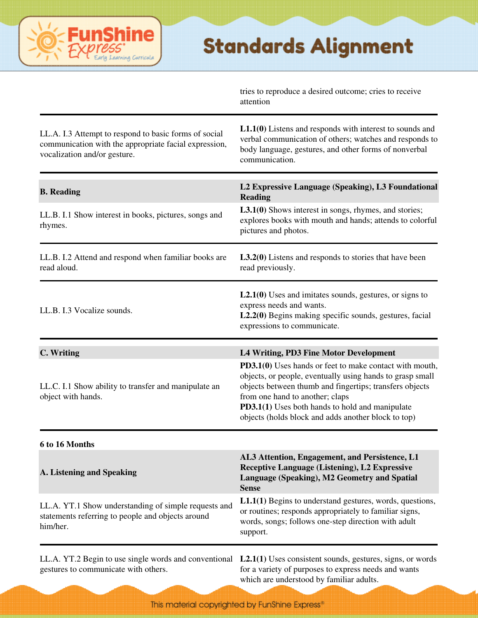

tries to reproduce a desired outcome; cries to receive attention

| LL.A. I.3 Attempt to respond to basic forms of social<br>communication with the appropriate facial expression,<br>vocalization and/or gesture. | $L1.1(0)$ Listens and responds with interest to sounds and<br>verbal communication of others; watches and responds to<br>body language, gestures, and other forms of nonverbal<br>communication.                                                                                                                             |
|------------------------------------------------------------------------------------------------------------------------------------------------|------------------------------------------------------------------------------------------------------------------------------------------------------------------------------------------------------------------------------------------------------------------------------------------------------------------------------|
| <b>B.</b> Reading                                                                                                                              | L2 Expressive Language (Speaking), L3 Foundational<br>Reading                                                                                                                                                                                                                                                                |
| LL.B. I.1 Show interest in books, pictures, songs and<br>rhymes.                                                                               | <b>L3.1(0)</b> Shows interest in songs, rhymes, and stories;<br>explores books with mouth and hands; attends to colorful<br>pictures and photos.                                                                                                                                                                             |
| LL.B. I.2 Attend and respond when familiar books are<br>read aloud.                                                                            | $L3.2(0)$ Listens and responds to stories that have been<br>read previously.                                                                                                                                                                                                                                                 |
| LL.B. I.3 Vocalize sounds.                                                                                                                     | $L2.1(0)$ Uses and imitates sounds, gestures, or signs to<br>express needs and wants.<br>L2.2(0) Begins making specific sounds, gestures, facial<br>expressions to communicate.                                                                                                                                              |
| C. Writing                                                                                                                                     | L4 Writing, PD3 Fine Motor Development                                                                                                                                                                                                                                                                                       |
| LL.C. I.1 Show ability to transfer and manipulate an<br>object with hands.                                                                     | PD3.1(0) Uses hands or feet to make contact with mouth,<br>objects, or people, eventually using hands to grasp small<br>objects between thumb and fingertips; transfers objects<br>from one hand to another; claps<br>PD3.1(1) Uses both hands to hold and manipulate<br>objects (holds block and adds another block to top) |
| 6 to 16 Months                                                                                                                                 |                                                                                                                                                                                                                                                                                                                              |
| A. Listening and Speaking                                                                                                                      | AL3 Attention, Engagement, and Persistence, L1<br><b>Receptive Language (Listening), L2 Expressive</b><br>Language (Speaking), M2 Geometry and Spatial<br><b>Sense</b>                                                                                                                                                       |
| LL.A. YT.1 Show understanding of simple requests and<br>statements referring to people and objects around<br>him/her.                          | L1.1(1) Begins to understand gestures, words, questions,<br>or routines; responds appropriately to familiar signs,<br>words, songs; follows one-step direction with adult<br>support.                                                                                                                                        |
|                                                                                                                                                | LL.A. YT.2 Begin to use single words and conventional L2.1(1) Uses consistent sounds, gestures, signs, or words                                                                                                                                                                                                              |

gestures to communicate with others.

for a variety of purposes to express needs and wants which are understood by familiar adults.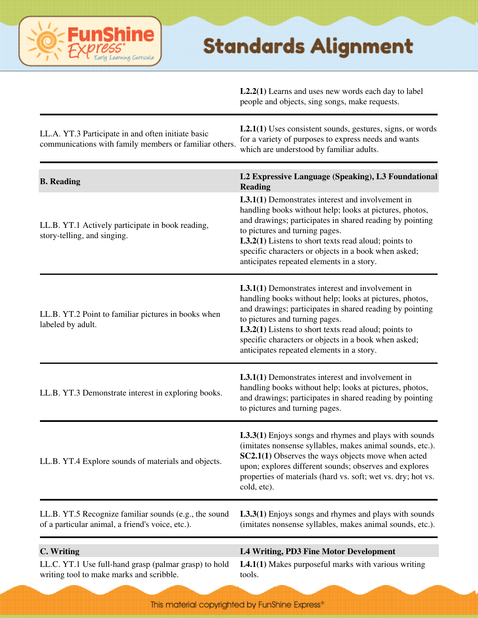

**L2.2(1)** Learns and uses new words each day to label people and objects, sing songs, make requests.

| LL.A. YT.3 Participate in and often initiate basic<br>communications with family members or familiar others. | $L2.1(1)$ Uses consistent sounds, gestures, signs, or words<br>for a variety of purposes to express needs and wants<br>which are understood by familiar adults.                                                                                                                                                                                                                 |
|--------------------------------------------------------------------------------------------------------------|---------------------------------------------------------------------------------------------------------------------------------------------------------------------------------------------------------------------------------------------------------------------------------------------------------------------------------------------------------------------------------|
| <b>B.</b> Reading                                                                                            | L2 Expressive Language (Speaking), L3 Foundational<br><b>Reading</b>                                                                                                                                                                                                                                                                                                            |
| LL.B. YT.1 Actively participate in book reading,<br>story-telling, and singing.                              | <b>L3.1(1)</b> Demonstrates interest and involvement in<br>handling books without help; looks at pictures, photos,<br>and drawings; participates in shared reading by pointing<br>to pictures and turning pages.<br>$L3.2(1)$ Listens to short texts read aloud; points to<br>specific characters or objects in a book when asked;<br>anticipates repeated elements in a story. |
| LL.B. YT.2 Point to familiar pictures in books when<br>labeled by adult.                                     | <b>L3.1(1)</b> Demonstrates interest and involvement in<br>handling books without help; looks at pictures, photos,<br>and drawings; participates in shared reading by pointing<br>to pictures and turning pages.<br>$L3.2(1)$ Listens to short texts read aloud; points to<br>specific characters or objects in a book when asked;<br>anticipates repeated elements in a story. |
| LL.B. YT.3 Demonstrate interest in exploring books.                                                          | L3.1(1) Demonstrates interest and involvement in<br>handling books without help; looks at pictures, photos,<br>and drawings; participates in shared reading by pointing<br>to pictures and turning pages.                                                                                                                                                                       |
| LL.B. YT.4 Explore sounds of materials and objects.                                                          | L3.3(1) Enjoys songs and rhymes and plays with sounds<br>(imitates nonsense syllables, makes animal sounds, etc.).<br>SC2.1(1) Observes the ways objects move when acted<br>upon; explores different sounds; observes and explores<br>properties of materials (hard vs. soft; wet vs. dry; hot vs.<br>cold, etc).                                                               |
| LL.B. YT.5 Recognize familiar sounds (e.g., the sound<br>of a particular animal, a friend's voice, etc.).    | L3.3(1) Enjoys songs and rhymes and plays with sounds<br>(imitates nonsense syllables, makes animal sounds, etc.).                                                                                                                                                                                                                                                              |
| C. Writing                                                                                                   | L4 Writing, PD3 Fine Motor Development                                                                                                                                                                                                                                                                                                                                          |
| LL.C. YT.1 Use full-hand grasp (palmar grasp) to hold<br>writing tool to make marks and scribble.            | $L4.1(1)$ Makes purposeful marks with various writing<br>tools.                                                                                                                                                                                                                                                                                                                 |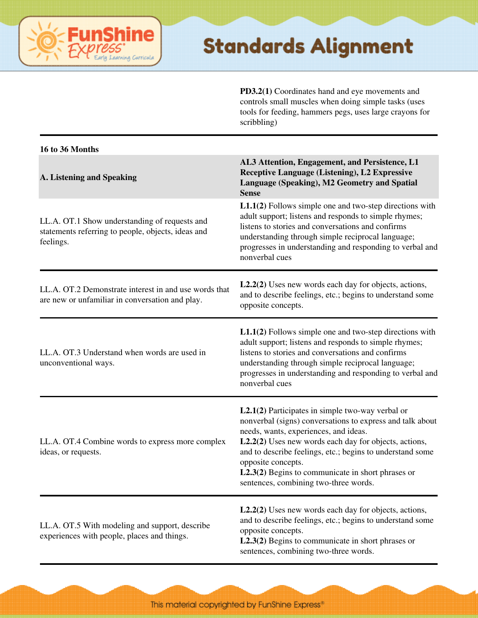

**PD3.2(1)** Coordinates hand and eye movements and controls small muscles when doing simple tasks (uses tools for feeding, hammers pegs, uses large crayons for scribbling)

| 16 to 36 Months                                                                                                  |                                                                                                                                                                                                                                                                                                                                                                                                      |
|------------------------------------------------------------------------------------------------------------------|------------------------------------------------------------------------------------------------------------------------------------------------------------------------------------------------------------------------------------------------------------------------------------------------------------------------------------------------------------------------------------------------------|
| A. Listening and Speaking                                                                                        | AL3 Attention, Engagement, and Persistence, L1<br>Receptive Language (Listening), L2 Expressive<br>Language (Speaking), M2 Geometry and Spatial<br><b>Sense</b>                                                                                                                                                                                                                                      |
| LL.A. OT.1 Show understanding of requests and<br>statements referring to people, objects, ideas and<br>feelings. | $L1.1(2)$ Follows simple one and two-step directions with<br>adult support; listens and responds to simple rhymes;<br>listens to stories and conversations and confirms<br>understanding through simple reciprocal language;<br>progresses in understanding and responding to verbal and<br>nonverbal cues                                                                                           |
| LL.A. OT.2 Demonstrate interest in and use words that<br>are new or unfamiliar in conversation and play.         | $L2.2(2)$ Uses new words each day for objects, actions,<br>and to describe feelings, etc.; begins to understand some<br>opposite concepts.                                                                                                                                                                                                                                                           |
| LL.A. OT.3 Understand when words are used in<br>unconventional ways.                                             | $L1.1(2)$ Follows simple one and two-step directions with<br>adult support; listens and responds to simple rhymes;<br>listens to stories and conversations and confirms<br>understanding through simple reciprocal language;<br>progresses in understanding and responding to verbal and<br>nonverbal cues                                                                                           |
| LL.A. OT.4 Combine words to express more complex<br>ideas, or requests.                                          | $L2.1(2)$ Participates in simple two-way verbal or<br>nonverbal (signs) conversations to express and talk about<br>needs, wants, experiences, and ideas.<br>L2.2(2) Uses new words each day for objects, actions,<br>and to describe feelings, etc.; begins to understand some<br>opposite concepts.<br>$L2.3(2)$ Begins to communicate in short phrases or<br>sentences, combining two-three words. |
| LL.A. OT.5 With modeling and support, describe<br>experiences with people, places and things.                    | L2.2(2) Uses new words each day for objects, actions,<br>and to describe feelings, etc.; begins to understand some<br>opposite concepts.<br>$L2.3(2)$ Begins to communicate in short phrases or<br>sentences, combining two-three words.                                                                                                                                                             |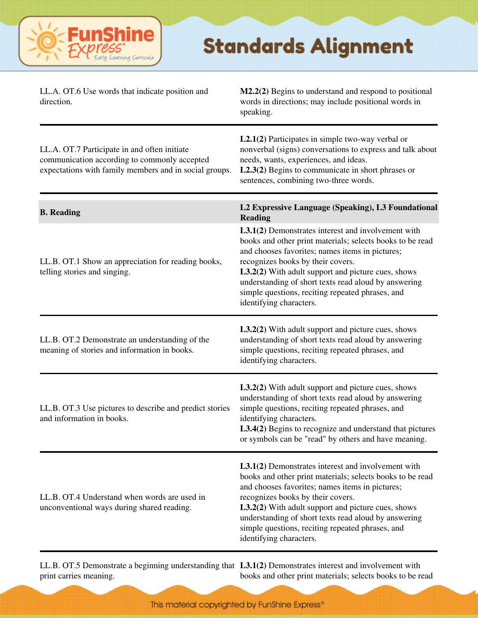

| LL.A. OT.6 Use words that indicate position and<br>direction.                                                                                          | M2.2(2) Begins to understand and respond to positional<br>words in directions; may include positional words in<br>speaking.                                                                                                                                                                                                                                                                                 |
|--------------------------------------------------------------------------------------------------------------------------------------------------------|-------------------------------------------------------------------------------------------------------------------------------------------------------------------------------------------------------------------------------------------------------------------------------------------------------------------------------------------------------------------------------------------------------------|
| LL.A. OT.7 Participate in and often initiate<br>communication according to commonly accepted<br>expectations with family members and in social groups. | $L2.1(2)$ Participates in simple two-way verbal or<br>nonverbal (signs) conversations to express and talk about<br>needs, wants, experiences, and ideas.<br>$L2.3(2)$ Begins to communicate in short phrases or<br>sentences, combining two-three words.                                                                                                                                                    |
| <b>B.</b> Reading                                                                                                                                      | L2 Expressive Language (Speaking), L3 Foundational<br><b>Reading</b>                                                                                                                                                                                                                                                                                                                                        |
| LL.B. OT.1 Show an appreciation for reading books,<br>telling stories and singing.                                                                     | L3.1(2) Demonstrates interest and involvement with<br>books and other print materials; selects books to be read<br>and chooses favorites; names items in pictures;<br>recognizes books by their covers.<br>L3.2(2) With adult support and picture cues, shows<br>understanding of short texts read aloud by answering<br>simple questions, reciting repeated phrases, and<br>identifying characters.        |
| LL.B. OT.2 Demonstrate an understanding of the<br>meaning of stories and information in books.                                                         | L3.2(2) With adult support and picture cues, shows<br>understanding of short texts read aloud by answering<br>simple questions, reciting repeated phrases, and<br>identifying characters.                                                                                                                                                                                                                   |
| LL.B. OT.3 Use pictures to describe and predict stories<br>and information in books.                                                                   | L3.2(2) With adult support and picture cues, shows<br>understanding of short texts read aloud by answering<br>simple questions, reciting repeated phrases, and<br>identifying characters.<br>L3.4(2) Begins to recognize and understand that pictures<br>or symbols can be "read" by others and have meaning.                                                                                               |
| LL.B. OT.4 Understand when words are used in<br>unconventional ways during shared reading.                                                             | <b>L3.1(2)</b> Demonstrates interest and involvement with<br>books and other print materials; selects books to be read<br>and chooses favorites; names items in pictures;<br>recognizes books by their covers.<br>L3.2(2) With adult support and picture cues, shows<br>understanding of short texts read aloud by answering<br>simple questions, reciting repeated phrases, and<br>identifying characters. |

LL.B. OT.5 Demonstrate a beginning understanding that **L3.1(2)** Demonstrates interest and involvement with print carries meaning. books and other print materials; selects books to be read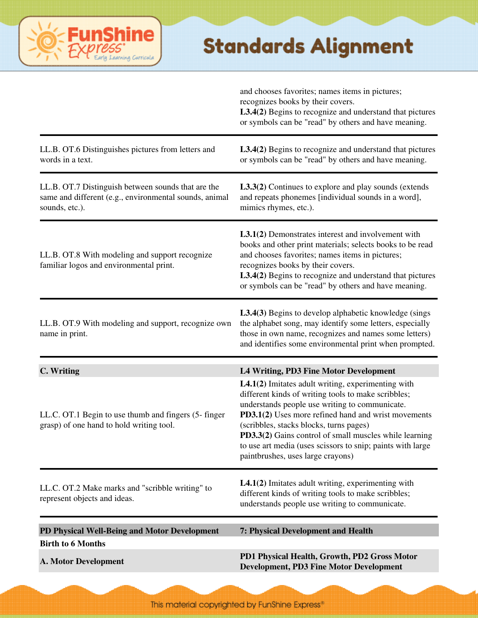#### **FunShine** Learning Curricula

#### **Standards Alignment**

| <b>A. Motor Development</b>                                                                                                    | PD1 Physical Health, Growth, PD2 Gross Motor<br><b>Development, PD3 Fine Motor Development</b>                                                                                                                                                                                                                                                                                                                             |
|--------------------------------------------------------------------------------------------------------------------------------|----------------------------------------------------------------------------------------------------------------------------------------------------------------------------------------------------------------------------------------------------------------------------------------------------------------------------------------------------------------------------------------------------------------------------|
| PD Physical Well-Being and Motor Development<br><b>Birth to 6 Months</b>                                                       | 7: Physical Development and Health                                                                                                                                                                                                                                                                                                                                                                                         |
| LL.C. OT.2 Make marks and "scribble writing" to<br>represent objects and ideas.                                                | $L4.1(2)$ Imitates adult writing, experimenting with<br>different kinds of writing tools to make scribbles;<br>understands people use writing to communicate.                                                                                                                                                                                                                                                              |
| LL.C. OT.1 Begin to use thumb and fingers (5-finger<br>grasp) of one hand to hold writing tool.                                | L4.1(2) Imitates adult writing, experimenting with<br>different kinds of writing tools to make scribbles;<br>understands people use writing to communicate.<br>PD3.1(2) Uses more refined hand and wrist movements<br>(scribbles, stacks blocks, turns pages)<br>PD3.3(2) Gains control of small muscles while learning<br>to use art media (uses scissors to snip; paints with large<br>paintbrushes, uses large crayons) |
| C. Writing                                                                                                                     | L4 Writing, PD3 Fine Motor Development                                                                                                                                                                                                                                                                                                                                                                                     |
| LL.B. OT.9 With modeling and support, recognize own<br>name in print.                                                          | <b>L3.4(3)</b> Begins to develop alphabetic knowledge (sings<br>the alphabet song, may identify some letters, especially<br>those in own name, recognizes and names some letters)<br>and identifies some environmental print when prompted.                                                                                                                                                                                |
| LL.B. OT.8 With modeling and support recognize<br>familiar logos and environmental print.                                      | L3.1(2) Demonstrates interest and involvement with<br>books and other print materials; selects books to be read<br>and chooses favorites; names items in pictures;<br>recognizes books by their covers.<br>L3.4(2) Begins to recognize and understand that pictures<br>or symbols can be "read" by others and have meaning.                                                                                                |
| LL.B. OT.7 Distinguish between sounds that are the<br>same and different (e.g., environmental sounds, animal<br>sounds, etc.). | L3.3(2) Continues to explore and play sounds (extends<br>and repeats phonemes [individual sounds in a word],<br>mimics rhymes, etc.).                                                                                                                                                                                                                                                                                      |
| LL.B. OT.6 Distinguishes pictures from letters and<br>words in a text.                                                         | L3.4(2) Begins to recognize and understand that pictures<br>or symbols can be "read" by others and have meaning.                                                                                                                                                                                                                                                                                                           |
|                                                                                                                                | and chooses favorites; names items in pictures;<br>recognizes books by their covers.<br>L3.4(2) Begins to recognize and understand that pictures<br>or symbols can be "read" by others and have meaning.                                                                                                                                                                                                                   |

This material copyrighted by FunShine Express"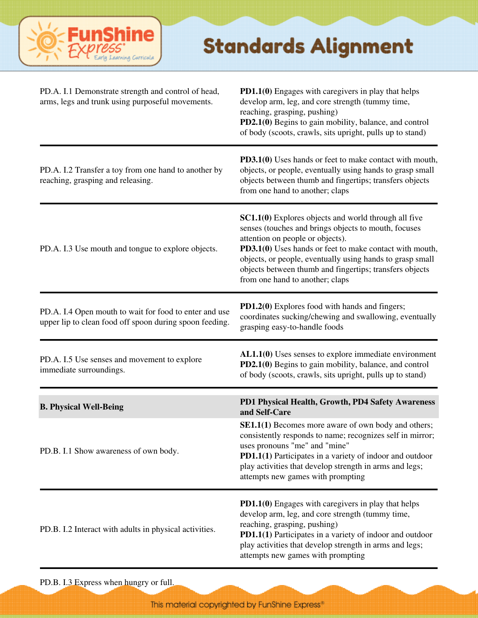

| PD.A. I.1 Demonstrate strength and control of head,<br>arms, legs and trunk using purposeful movements.           | <b>PD1.1(0)</b> Engages with caregivers in play that helps<br>develop arm, leg, and core strength (tummy time,<br>reaching, grasping, pushing)<br>PD2.1(0) Begins to gain mobility, balance, and control<br>of body (scoots, crawls, sits upright, pulls up to stand)                                                                                                         |
|-------------------------------------------------------------------------------------------------------------------|-------------------------------------------------------------------------------------------------------------------------------------------------------------------------------------------------------------------------------------------------------------------------------------------------------------------------------------------------------------------------------|
| PD.A. I.2 Transfer a toy from one hand to another by<br>reaching, grasping and releasing.                         | PD3.1(0) Uses hands or feet to make contact with mouth,<br>objects, or people, eventually using hands to grasp small<br>objects between thumb and fingertips; transfers objects<br>from one hand to another; claps                                                                                                                                                            |
| PD.A. I.3 Use mouth and tongue to explore objects.                                                                | <b>SC1.1(0)</b> Explores objects and world through all five<br>senses (touches and brings objects to mouth, focuses<br>attention on people or objects).<br>PD3.1(0) Uses hands or feet to make contact with mouth,<br>objects, or people, eventually using hands to grasp small<br>objects between thumb and fingertips; transfers objects<br>from one hand to another; claps |
| PD.A. I.4 Open mouth to wait for food to enter and use<br>upper lip to clean food off spoon during spoon feeding. | PD1.2(0) Explores food with hands and fingers;<br>coordinates sucking/chewing and swallowing, eventually<br>grasping easy-to-handle foods                                                                                                                                                                                                                                     |
| PD.A. I.5 Use senses and movement to explore<br>immediate surroundings.                                           | $AL1.1(0)$ Uses senses to explore immediate environment<br>PD2.1(0) Begins to gain mobility, balance, and control<br>of body (scoots, crawls, sits upright, pulls up to stand)                                                                                                                                                                                                |
| <b>B. Physical Well-Being</b>                                                                                     | PD1 Physical Health, Growth, PD4 Safety Awareness<br>and Self-Care                                                                                                                                                                                                                                                                                                            |
| PD.B. I.1 Show awareness of own body.                                                                             | <b>SE1.1(1)</b> Becomes more aware of own body and others;<br>consistently responds to name; recognizes self in mirror;<br>uses pronouns "me" and "mine"<br>PD1.1(1) Participates in a variety of indoor and outdoor<br>play activities that develop strength in arms and legs;<br>attempts new games with prompting                                                          |
| PD.B. I.2 Interact with adults in physical activities.                                                            | <b>PD1.1(0)</b> Engages with caregivers in play that helps<br>develop arm, leg, and core strength (tummy time,<br>reaching, grasping, pushing)<br>PD1.1(1) Participates in a variety of indoor and outdoor<br>play activities that develop strength in arms and legs;<br>attempts new games with prompting                                                                    |

PD.B. I.3 Express when hungry or full.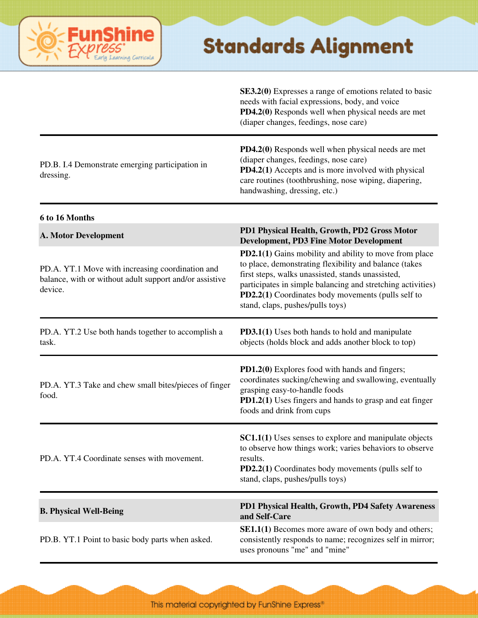# ning Curric

#### **Standards Alignment**

**SE3.2(0)** Expresses a range of emotions related to basic needs with facial expressions, body, and voice **PD4.2(0)** Responds well when physical needs are met (diaper changes, feedings, nose care)

PD.B. I.4 Demonstrate emerging participation in dressing.

**PD4.2(0)** Responds well when physical needs are met (diaper changes, feedings, nose care) **PD4.2(1)** Accepts and is more involved with physical care routines (toothbrushing, nose wiping, diapering, handwashing, dressing, etc.)

**6 to 16 Months A. Motor Development PD1 Physical Health, Growth, PD2 Gross Motor Development, PD3 Fine Motor Development** PD.A. YT.1 Move with increasing coordination and balance, with or without adult support and/or assistive device. **PD2.1(1)** Gains mobility and ability to move from place to place, demonstrating flexibility and balance (takes first steps, walks unassisted, stands unassisted, participates in simple balancing and stretching activities) **PD2.2(1)** Coordinates body movements (pulls self to stand, claps, pushes/pulls toys) PD.A. YT.2 Use both hands together to accomplish a task. **PD3.1(1)** Uses both hands to hold and manipulate objects (holds block and adds another block to top) PD.A. YT.3 Take and chew small bites/pieces of finger food. **PD1.2(0)** Explores food with hands and fingers; coordinates sucking/chewing and swallowing, eventually grasping easy-to-handle foods **PD1.2(1)** Uses fingers and hands to grasp and eat finger foods and drink from cups PD.A. YT.4 Coordinate senses with movement. **SC1.1(1)** Uses senses to explore and manipulate objects to observe how things work; varies behaviors to observe results. **PD2.2(1)** Coordinates body movements (pulls self to stand, claps, pushes/pulls toys) **B. Physical Well-Being PD1 Physical Health, Growth, PD4 Safety Awareness and Self-Care** PD.B. YT.1 Point to basic body parts when asked. **SE1.1(1)** Becomes more aware of own body and others; consistently responds to name; recognizes self in mirror; uses pronouns "me" and "mine"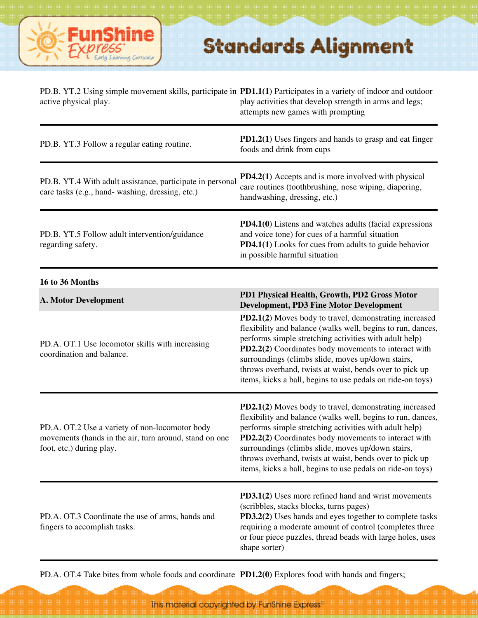

| PD.B. YT.2 Using simple movement skills, participate in PD1.1(1) Participates in a variety of indoor and outdoor<br>active physical play. | play activities that develop strength in arms and legs;<br>attempts new games with prompting                                                                                                                                                                                                                                                                                                                                 |
|-------------------------------------------------------------------------------------------------------------------------------------------|------------------------------------------------------------------------------------------------------------------------------------------------------------------------------------------------------------------------------------------------------------------------------------------------------------------------------------------------------------------------------------------------------------------------------|
| PD.B. YT.3 Follow a regular eating routine.                                                                                               | <b>PD1.2(1)</b> Uses fingers and hands to grasp and eat finger<br>foods and drink from cups                                                                                                                                                                                                                                                                                                                                  |
| PD.B. YT.4 With adult assistance, participate in personal<br>care tasks (e.g., hand-washing, dressing, etc.)                              | <b>PD4.2(1)</b> Accepts and is more involved with physical<br>care routines (toothbrushing, nose wiping, diapering,<br>handwashing, dressing, etc.)                                                                                                                                                                                                                                                                          |
| PD.B. YT.5 Follow adult intervention/guidance<br>regarding safety.                                                                        | PD4.1(0) Listens and watches adults (facial expressions<br>and voice tone) for cues of a harmful situation<br><b>PD4.1(1)</b> Looks for cues from adults to guide behavior<br>in possible harmful situation                                                                                                                                                                                                                  |
| 16 to 36 Months                                                                                                                           |                                                                                                                                                                                                                                                                                                                                                                                                                              |
| <b>A. Motor Development</b>                                                                                                               | PD1 Physical Health, Growth, PD2 Gross Motor<br><b>Development, PD3 Fine Motor Development</b>                                                                                                                                                                                                                                                                                                                               |
| PD.A. OT.1 Use locomotor skills with increasing<br>coordination and balance.                                                              | PD2.1(2) Moves body to travel, demonstrating increased<br>flexibility and balance (walks well, begins to run, dances,<br>performs simple stretching activities with adult help)<br>PD2.2(2) Coordinates body movements to interact with<br>surroundings (climbs slide, moves up/down stairs,<br>throws overhand, twists at waist, bends over to pick up<br>items, kicks a ball, begins to use pedals on ride-on toys)        |
| PD.A. OT.2 Use a variety of non-locomotor body<br>movements (hands in the air, turn around, stand on one<br>foot, etc.) during play.      | PD2.1(2) Moves body to travel, demonstrating increased<br>flexibility and balance (walks well, begins to run, dances,<br>performs simple stretching activities with adult help)<br><b>PD2.2(2)</b> Coordinates body movements to interact with<br>surroundings (climbs slide, moves up/down stairs,<br>throws overhand, twists at waist, bends over to pick up<br>items, kicks a ball, begins to use pedals on ride-on toys) |
| PD.A. OT.3 Coordinate the use of arms, hands and<br>fingers to accomplish tasks.                                                          | <b>PD3.1(2)</b> Uses more refined hand and wrist movements<br>(scribbles, stacks blocks, turns pages)<br>PD3.2(2) Uses hands and eyes together to complete tasks<br>requiring a moderate amount of control (completes three<br>or four piece puzzles, thread beads with large holes, uses<br>shape sorter)                                                                                                                   |

PD.A. OT.4 Take bites from whole foods and coordinate **PD1.2(0)** Explores food with hands and fingers;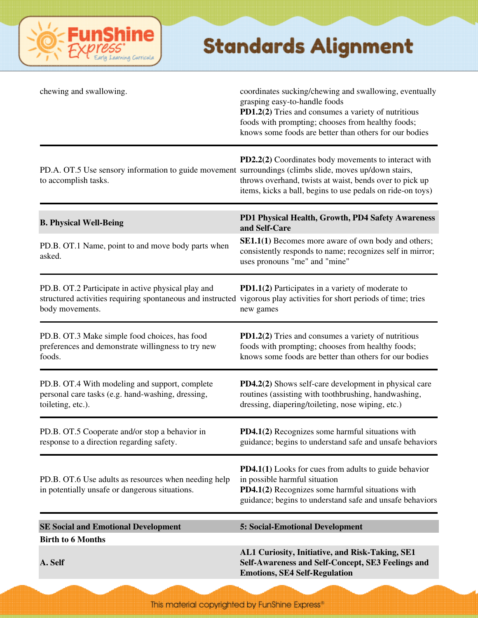

| PD2.2(2) Coordinates body movements to interact with<br>PD.A. OT.5 Use sensory information to guide movement surroundings (climbs slide, moves up/down stairs,<br>throws overhand, twists at waist, bends over to pick up<br>items, kicks a ball, begins to use pedals on ride-on toys)<br>PD1 Physical Health, Growth, PD4 Safety Awareness<br>and Self-Care<br><b>SE1.1(1)</b> Becomes more aware of own body and others;<br>consistently responds to name; recognizes self in mirror; |
|------------------------------------------------------------------------------------------------------------------------------------------------------------------------------------------------------------------------------------------------------------------------------------------------------------------------------------------------------------------------------------------------------------------------------------------------------------------------------------------|
|                                                                                                                                                                                                                                                                                                                                                                                                                                                                                          |
|                                                                                                                                                                                                                                                                                                                                                                                                                                                                                          |
| uses pronouns "me" and "mine"                                                                                                                                                                                                                                                                                                                                                                                                                                                            |
| PD1.1(2) Participates in a variety of moderate to<br>structured activities requiring spontaneous and instructed vigorous play activities for short periods of time; tries<br>new games                                                                                                                                                                                                                                                                                                   |
| PD1.2(2) Tries and consumes a variety of nutritious<br>foods with prompting; chooses from healthy foods;<br>knows some foods are better than others for our bodies                                                                                                                                                                                                                                                                                                                       |
| <b>PD4.2(2)</b> Shows self-care development in physical care<br>routines (assisting with toothbrushing, handwashing,<br>dressing, diapering/toileting, nose wiping, etc.)                                                                                                                                                                                                                                                                                                                |
| PD4.1(2) Recognizes some harmful situations with<br>guidance; begins to understand safe and unsafe behaviors                                                                                                                                                                                                                                                                                                                                                                             |
| <b>PD4.1(1)</b> Looks for cues from adults to guide behavior<br>in possible harmful situation<br>PD4.1(2) Recognizes some harmful situations with<br>guidance; begins to understand safe and unsafe behaviors                                                                                                                                                                                                                                                                            |
| <b>5: Social-Emotional Development</b>                                                                                                                                                                                                                                                                                                                                                                                                                                                   |
|                                                                                                                                                                                                                                                                                                                                                                                                                                                                                          |
| AL1 Curiosity, Initiative, and Risk-Taking, SE1<br>Self-Awareness and Self-Concept, SE3 Feelings and                                                                                                                                                                                                                                                                                                                                                                                     |
|                                                                                                                                                                                                                                                                                                                                                                                                                                                                                          |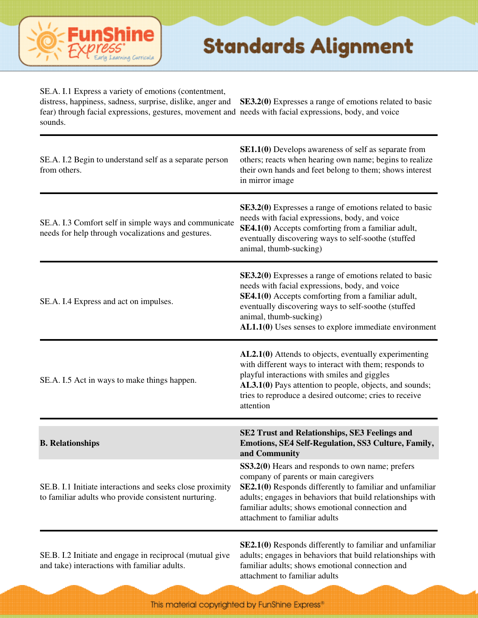

SE.A. I.1 Express a variety of emotions (contentment,

fear) through facial expressions, gestures, movement and needs with facial expressions, body, and voice sounds.

distress, happiness, sadness, surprise, dislike, anger and **SE3.2(0)** Expresses a range of emotions related to basic

| SE.A. I.2 Begin to understand self as a separate person<br>from others.                                           | <b>SE1.1(0)</b> Develops awareness of self as separate from<br>others; reacts when hearing own name; begins to realize<br>their own hands and feet belong to them; shows interest<br>in mirror image                                                                                                               |
|-------------------------------------------------------------------------------------------------------------------|--------------------------------------------------------------------------------------------------------------------------------------------------------------------------------------------------------------------------------------------------------------------------------------------------------------------|
| SE.A. I.3 Comfort self in simple ways and communicate<br>needs for help through vocalizations and gestures.       | SE3.2(0) Expresses a range of emotions related to basic<br>needs with facial expressions, body, and voice<br>SE4.1(0) Accepts comforting from a familiar adult,<br>eventually discovering ways to self-soothe (stuffed<br>animal, thumb-sucking)                                                                   |
| SE.A. I.4 Express and act on impulses.                                                                            | <b>SE3.2(0)</b> Expresses a range of emotions related to basic<br>needs with facial expressions, body, and voice<br>SE4.1(0) Accepts comforting from a familiar adult,<br>eventually discovering ways to self-soothe (stuffed<br>animal, thumb-sucking)<br>$AL1.1(0)$ Uses senses to explore immediate environment |
| SE.A. I.5 Act in ways to make things happen.                                                                      | AL2.1(0) Attends to objects, eventually experimenting<br>with different ways to interact with them; responds to<br>playful interactions with smiles and giggles<br>AL3.1(0) Pays attention to people, objects, and sounds;<br>tries to reproduce a desired outcome; cries to receive<br>attention                  |
| <b>B.</b> Relationships                                                                                           | SE2 Trust and Relationships, SE3 Feelings and<br>Emotions, SE4 Self-Regulation, SS3 Culture, Family,<br>and Community                                                                                                                                                                                              |
| SE.B. I.1 Initiate interactions and seeks close proximity<br>to familiar adults who provide consistent nurturing. | SS3.2(0) Hears and responds to own name; prefers<br>company of parents or main caregivers<br>SE2.1(0) Responds differently to familiar and unfamiliar<br>adults; engages in behaviors that build relationships with<br>familiar adults; shows emotional connection and<br>attachment to familiar adults            |
|                                                                                                                   | $\mathbb{C} \mathbb{F}$ 1(0) Decrease differently to femiliar and unfamiliar                                                                                                                                                                                                                                       |

SE.B. I.2 Initiate and engage in reciprocal (mutual give and take) interactions with familiar adults.

**SE2.1(0)** Responds differently to familiar and unfamiliar adults; engages in behaviors that build relationships with familiar adults; shows emotional connection and attachment to familiar adults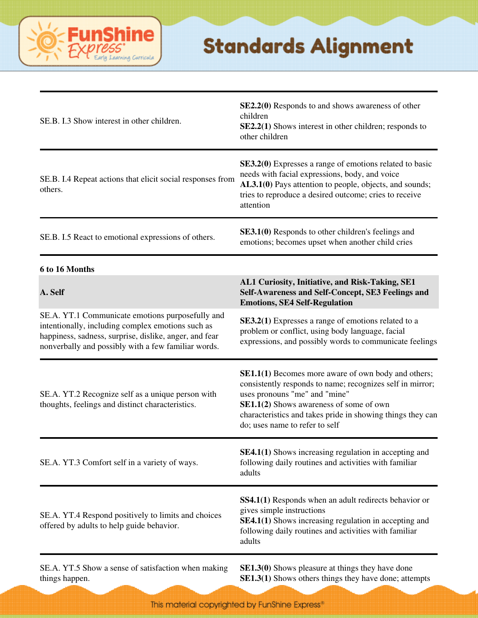

| SE.B. I.3 Show interest in other children.                                                                                                                                                                             | SE2.2(0) Responds to and shows awareness of other<br>children<br>SE2.2(1) Shows interest in other children; responds to<br>other children                                                                                                                                                           |
|------------------------------------------------------------------------------------------------------------------------------------------------------------------------------------------------------------------------|-----------------------------------------------------------------------------------------------------------------------------------------------------------------------------------------------------------------------------------------------------------------------------------------------------|
| SE.B. I.4 Repeat actions that elicit social responses from<br>others.                                                                                                                                                  | SE3.2(0) Expresses a range of emotions related to basic<br>needs with facial expressions, body, and voice<br>AL3.1(0) Pays attention to people, objects, and sounds;<br>tries to reproduce a desired outcome; cries to receive<br>attention                                                         |
| SE.B. I.5 React to emotional expressions of others.                                                                                                                                                                    | <b>SE3.1(0)</b> Responds to other children's feelings and<br>emotions; becomes upset when another child cries                                                                                                                                                                                       |
| 6 to 16 Months                                                                                                                                                                                                         |                                                                                                                                                                                                                                                                                                     |
| A. Self                                                                                                                                                                                                                | AL1 Curiosity, Initiative, and Risk-Taking, SE1<br>Self-Awareness and Self-Concept, SE3 Feelings and<br><b>Emotions, SE4 Self-Regulation</b>                                                                                                                                                        |
| SE.A. YT.1 Communicate emotions purposefully and<br>intentionally, including complex emotions such as<br>happiness, sadness, surprise, dislike, anger, and fear<br>nonverbally and possibly with a few familiar words. | SE3.2(1) Expresses a range of emotions related to a<br>problem or conflict, using body language, facial<br>expressions, and possibly words to communicate feelings                                                                                                                                  |
| SE.A. YT.2 Recognize self as a unique person with<br>thoughts, feelings and distinct characteristics.                                                                                                                  | <b>SE1.1(1)</b> Becomes more aware of own body and others;<br>consistently responds to name; recognizes self in mirror;<br>uses pronouns "me" and "mine"<br>SE1.1(2) Shows awareness of some of own<br>characteristics and takes pride in showing things they can<br>do; uses name to refer to self |
| SE.A. YT.3 Comfort self in a variety of ways.                                                                                                                                                                          | <b>SE4.1(1)</b> Shows increasing regulation in accepting and<br>following daily routines and activities with familiar<br>adults                                                                                                                                                                     |
| SE.A. YT.4 Respond positively to limits and choices<br>offered by adults to help guide behavior.                                                                                                                       | SS4.1(1) Responds when an adult redirects behavior or<br>gives simple instructions<br><b>SE4.1(1)</b> Shows increasing regulation in accepting and<br>following daily routines and activities with familiar<br>adults                                                                               |

SE.A. YT.5 Show a sense of satisfaction when making things happen.

**SE1.3(0)** Shows pleasure at things they have done **SE1.3(1)** Shows others things they have done; attempts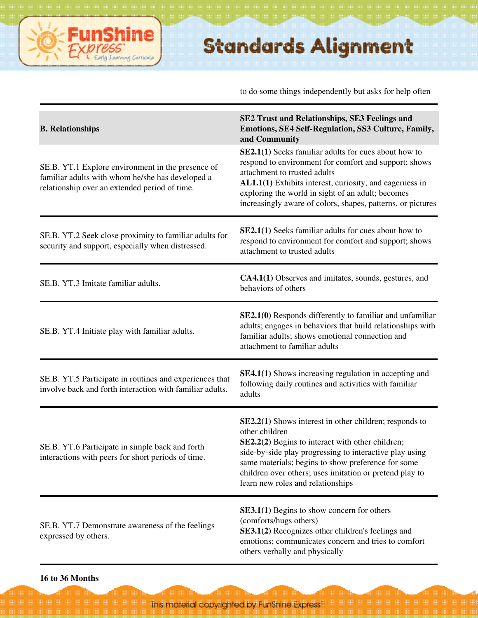to do some things independently but asks for help often

| <b>B.</b> Relationships                                                                                                                                | SE2 Trust and Relationships, SE3 Feelings and<br>Emotions, SE4 Self-Regulation, SS3 Culture, Family,<br>and Community                                                                                                                                                                                                                           |
|--------------------------------------------------------------------------------------------------------------------------------------------------------|-------------------------------------------------------------------------------------------------------------------------------------------------------------------------------------------------------------------------------------------------------------------------------------------------------------------------------------------------|
| SE.B. YT.1 Explore environment in the presence of<br>familiar adults with whom he/she has developed a<br>relationship over an extended period of time. | <b>SE2.1(1)</b> Seeks familiar adults for cues about how to<br>respond to environment for comfort and support; shows<br>attachment to trusted adults<br>AL1.1(1) Exhibits interest, curiosity, and eagerness in<br>exploring the world in sight of an adult; becomes<br>increasingly aware of colors, shapes, patterns, or pictures             |
| SE.B. YT.2 Seek close proximity to familiar adults for<br>security and support, especially when distressed.                                            | <b>SE2.1(1)</b> Seeks familiar adults for cues about how to<br>respond to environment for comfort and support; shows<br>attachment to trusted adults                                                                                                                                                                                            |
| SE.B. YT.3 Imitate familiar adults.                                                                                                                    | CA4.1(1) Observes and imitates, sounds, gestures, and<br>behaviors of others                                                                                                                                                                                                                                                                    |
| SE.B. YT.4 Initiate play with familiar adults.                                                                                                         | SE2.1(0) Responds differently to familiar and unfamiliar<br>adults; engages in behaviors that build relationships with<br>familiar adults; shows emotional connection and<br>attachment to familiar adults                                                                                                                                      |
| SE.B. YT.5 Participate in routines and experiences that<br>involve back and forth interaction with familiar adults.                                    | <b>SE4.1(1)</b> Shows increasing regulation in accepting and<br>following daily routines and activities with familiar<br>adults                                                                                                                                                                                                                 |
| SE.B. YT.6 Participate in simple back and forth<br>interactions with peers for short periods of time.                                                  | $SE2.2(1)$ Shows interest in other children; responds to<br>other children<br>SE2.2(2) Begins to interact with other children;<br>side-by-side play progressing to interactive play using<br>same materials; begins to show preference for some<br>children over others; uses imitation or pretend play to<br>learn new roles and relationships |
| SE.B. YT.7 Demonstrate awareness of the feelings<br>expressed by others.                                                                               | <b>SE3.1(1)</b> Begins to show concern for others<br>(comforts/hugs others)<br>SE3.1(2) Recognizes other children's feelings and<br>emotions; communicates concern and tries to comfort<br>others verbally and physically                                                                                                                       |

ine

arning Curricula

Fun

**16 to 36 Months**

This material copyrighted by FunShine Express"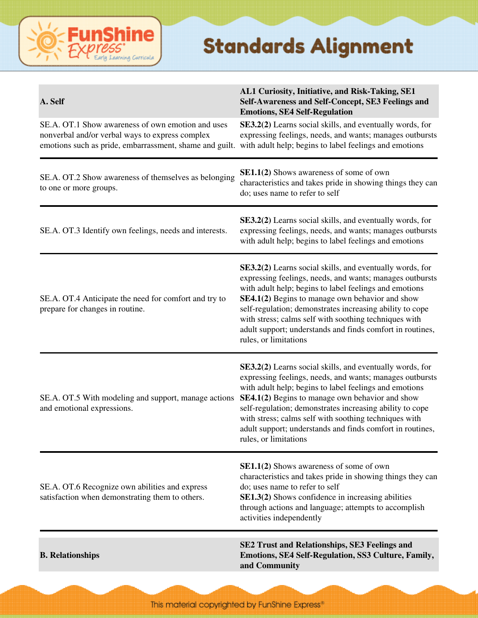#### **FunShine** Learning Curricula

| A. Self                                                                                                                                                         | AL1 Curiosity, Initiative, and Risk-Taking, SE1<br>Self-Awareness and Self-Concept, SE3 Feelings and<br><b>Emotions, SE4 Self-Regulation</b>                                                                                                                                                                                                                                                                                                 |
|-----------------------------------------------------------------------------------------------------------------------------------------------------------------|----------------------------------------------------------------------------------------------------------------------------------------------------------------------------------------------------------------------------------------------------------------------------------------------------------------------------------------------------------------------------------------------------------------------------------------------|
| SE.A. OT.1 Show awareness of own emotion and uses<br>nonverbal and/or verbal ways to express complex<br>emotions such as pride, embarrassment, shame and guilt. | SE3.2(2) Learns social skills, and eventually words, for<br>expressing feelings, needs, and wants; manages outbursts<br>with adult help; begins to label feelings and emotions                                                                                                                                                                                                                                                               |
| SE.A. OT.2 Show awareness of themselves as belonging<br>to one or more groups.                                                                                  | <b>SE1.1(2)</b> Shows awareness of some of own<br>characteristics and takes pride in showing things they can<br>do; uses name to refer to self                                                                                                                                                                                                                                                                                               |
| SE.A. OT.3 Identify own feelings, needs and interests.                                                                                                          | <b>SE3.2(2)</b> Learns social skills, and eventually words, for<br>expressing feelings, needs, and wants; manages outbursts<br>with adult help; begins to label feelings and emotions                                                                                                                                                                                                                                                        |
| SE.A. OT.4 Anticipate the need for comfort and try to<br>prepare for changes in routine.                                                                        | SE3.2(2) Learns social skills, and eventually words, for<br>expressing feelings, needs, and wants; manages outbursts<br>with adult help; begins to label feelings and emotions<br>SE4.1(2) Begins to manage own behavior and show<br>self-regulation; demonstrates increasing ability to cope<br>with stress; calms self with soothing techniques with<br>adult support; understands and finds comfort in routines,<br>rules, or limitations |
| SE.A. OT.5 With modeling and support, manage actions<br>and emotional expressions.                                                                              | SE3.2(2) Learns social skills, and eventually words, for<br>expressing feelings, needs, and wants; manages outbursts<br>with adult help; begins to label feelings and emotions<br>SE4.1(2) Begins to manage own behavior and show<br>self-regulation; demonstrates increasing ability to cope<br>with stress; calms self with soothing techniques with<br>adult support; understands and finds comfort in routines,<br>rules, or limitations |
| SE.A. OT.6 Recognize own abilities and express<br>satisfaction when demonstrating them to others.                                                               | SE1.1(2) Shows awareness of some of own<br>characteristics and takes pride in showing things they can<br>do; uses name to refer to self<br><b>SE1.3(2)</b> Shows confidence in increasing abilities<br>through actions and language; attempts to accomplish<br>activities independently                                                                                                                                                      |
| <b>B.</b> Relationships                                                                                                                                         | <b>SE2 Trust and Relationships, SE3 Feelings and</b><br>Emotions, SE4 Self-Regulation, SS3 Culture, Family,<br>and Community                                                                                                                                                                                                                                                                                                                 |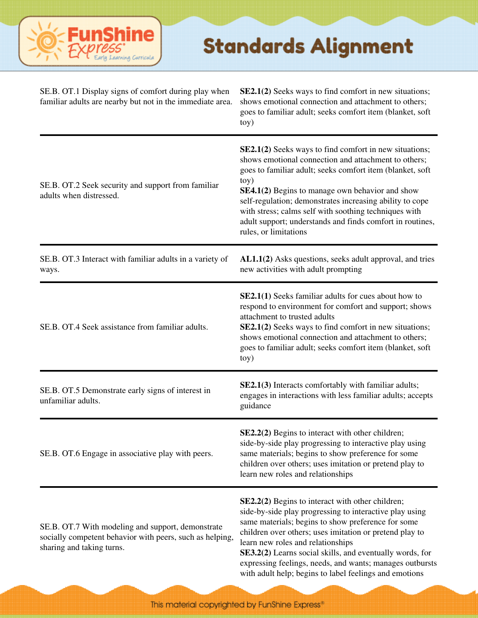

| SE.B. OT.1 Display signs of comfort during play when<br>familiar adults are nearby but not in the immediate area.                          | <b>SE2.1(2)</b> Seeks ways to find comfort in new situations;<br>shows emotional connection and attachment to others;<br>goes to familiar adult; seeks comfort item (blanket, soft<br>toy)                                                                                                                                                                                                                                                               |
|--------------------------------------------------------------------------------------------------------------------------------------------|----------------------------------------------------------------------------------------------------------------------------------------------------------------------------------------------------------------------------------------------------------------------------------------------------------------------------------------------------------------------------------------------------------------------------------------------------------|
| SE.B. OT.2 Seek security and support from familiar<br>adults when distressed.                                                              | <b>SE2.1(2)</b> Seeks ways to find comfort in new situations;<br>shows emotional connection and attachment to others;<br>goes to familiar adult; seeks comfort item (blanket, soft<br>toy)<br>SE4.1(2) Begins to manage own behavior and show<br>self-regulation; demonstrates increasing ability to cope<br>with stress; calms self with soothing techniques with<br>adult support; understands and finds comfort in routines,<br>rules, or limitations |
| SE.B. OT.3 Interact with familiar adults in a variety of<br>ways.                                                                          | AL1.1(2) Asks questions, seeks adult approval, and tries<br>new activities with adult prompting                                                                                                                                                                                                                                                                                                                                                          |
| SE.B. OT.4 Seek assistance from familiar adults.                                                                                           | <b>SE2.1(1)</b> Seeks familiar adults for cues about how to<br>respond to environment for comfort and support; shows<br>attachment to trusted adults<br><b>SE2.1(2)</b> Seeks ways to find comfort in new situations;<br>shows emotional connection and attachment to others;<br>goes to familiar adult; seeks comfort item (blanket, soft<br>toy)                                                                                                       |
| SE.B. OT.5 Demonstrate early signs of interest in<br>unfamiliar adults.                                                                    | SE2.1(3) Interacts comfortably with familiar adults;<br>engages in interactions with less familiar adults; accepts<br>guidance                                                                                                                                                                                                                                                                                                                           |
| SE.B. OT.6 Engage in associative play with peers.                                                                                          | $SE2.2(2)$ Begins to interact with other children;<br>side-by-side play progressing to interactive play using<br>same materials; begins to show preference for some<br>children over others; uses imitation or pretend play to<br>learn new roles and relationships                                                                                                                                                                                      |
| SE.B. OT.7 With modeling and support, demonstrate<br>socially competent behavior with peers, such as helping,<br>sharing and taking turns. | SE2.2(2) Begins to interact with other children;<br>side-by-side play progressing to interactive play using<br>same materials; begins to show preference for some<br>children over others; uses imitation or pretend play to<br>learn new roles and relationships<br>SE3.2(2) Learns social skills, and eventually words, for<br>expressing feelings, needs, and wants; manages outbursts<br>with adult help; begins to label feelings and emotions      |